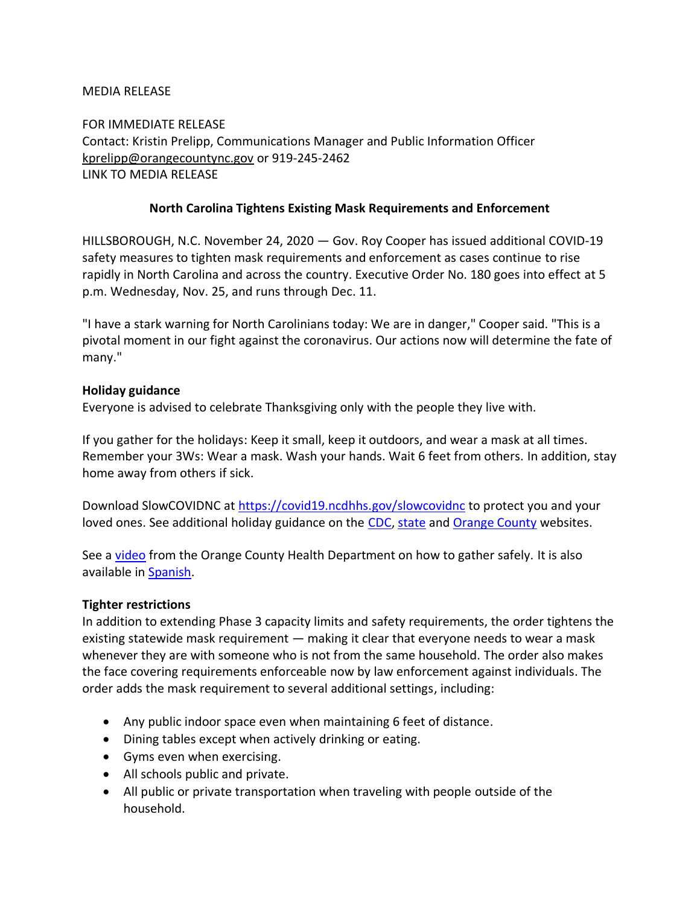## MEDIA RELEASE

FOR IMMEDIATE RELEASE Contact: Kristin Prelipp, Communications Manager and Public Information Officer [kprelipp@orangecountync.gov](mailto:kprelipp@orangecountync.gov) or 919-245-2462 LINK TO MEDIA RELEASE

### **North Carolina Tightens Existing Mask Requirements and Enforcement**

HILLSBOROUGH, N.C. November 24, 2020 ― Gov. Roy Cooper has issued additional COVID-19 safety measures to tighten mask requirements and enforcement as cases continue to rise rapidly in North Carolina and across the country. Executive Order No. 180 goes into effect at 5 p.m. Wednesday, Nov. 25, and runs through Dec. 11.

"I have a stark warning for North Carolinians today: We are in danger," Cooper said. "This is a pivotal moment in our fight against the coronavirus. Our actions now will determine the fate of many."

### **Holiday guidance**

Everyone is advised to celebrate Thanksgiving only with the people they live with.

If you gather for the holidays: Keep it small, keep it outdoors, and wear a mask at all times. Remember your 3Ws: Wear a mask. Wash your hands. Wait 6 feet from others. In addition, stay home away from others if sick.

Download SlowCOVIDNC at<https://covid19.ncdhhs.gov/slowcovidnc> to protect you and your loved ones. See additional holiday guidance on the [CDC,](https://www.cdc.gov/coronavirus/2019-ncov/daily-life-coping/holidays/thanksgiving.html) [state](https://covid19.ncdhhs.gov/information/individuals-families-and-communities/guidelines-get-togethers) and [Orange County](https://www.orangecountync.gov/2565/Guidance-for-Private-Social-Gatherings) websites.

See a [video](https://urldefense.proofpoint.com/v2/url?u=https-3A__youtu.be_KpbxXvZcKYQ&d=DwMF-g&c=JRU6Crajf79kKcplUJFHFfpcQ9GkS9xWLut8YRTooJY&r=T2PYX9SKE45hWzZjvyxUhFn-2r1MZan-8ELp4qTFGYQ&m=k6X-cLS1S9TR3bWuA1Fy8klcYmEcYXFu7tSxMENdcgQ&s=SerpDwa4MAkWzqScl5cED_h0BJ_yaqUxN8adMZzPjsg&e=) from the Orange County Health Department on how to gather safely. It is also available i[n Spanish.](https://youtu.be/MSz1sq3u_0g)

#### **Tighter restrictions**

In addition to extending Phase 3 capacity limits and safety requirements, the order tightens the existing statewide mask requirement ― making it clear that everyone needs to wear a mask whenever they are with someone who is not from the same household. The order also makes the face covering requirements enforceable now by law enforcement against individuals. The order adds the mask requirement to several additional settings, including:

- Any public indoor space even when maintaining 6 feet of distance.
- Dining tables except when actively drinking or eating.
- Gyms even when exercising.
- All schools public and private.
- All public or private transportation when traveling with people outside of the household.